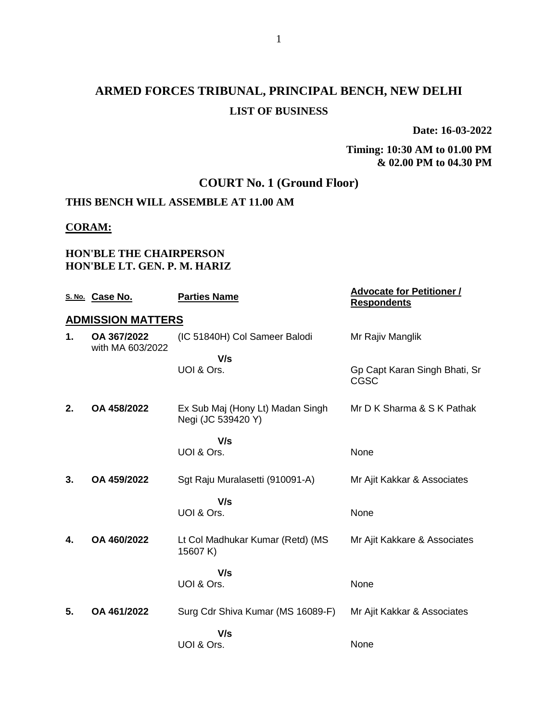# **ARMED FORCES TRIBUNAL, PRINCIPAL BENCH, NEW DELHI LIST OF BUSINESS**

**Date: 16-03-2022**

#### **Timing: 10:30 AM to 01.00 PM & 02.00 PM to 04.30 PM**

## **COURT No. 1 (Ground Floor)**

## **THIS BENCH WILL ASSEMBLE AT 11.00 AM**

#### **CORAM:**

#### **HON'BLE THE CHAIRPERSON HON'BLE LT. GEN. P. M. HARIZ**

|    | S. No. Case No.                 | <b>Parties Name</b>                                    | <b>Advocate for Petitioner /</b><br><b>Respondents</b> |
|----|---------------------------------|--------------------------------------------------------|--------------------------------------------------------|
|    | <b>ADMISSION MATTERS</b>        |                                                        |                                                        |
| 1. | OA 367/2022<br>with MA 603/2022 | (IC 51840H) Col Sameer Balodi                          | Mr Rajiv Manglik                                       |
|    |                                 | V/s<br>UOI & Ors.                                      | Gp Capt Karan Singh Bhati, Sr<br><b>CGSC</b>           |
| 2. | OA 458/2022                     | Ex Sub Maj (Hony Lt) Madan Singh<br>Negi (JC 539420 Y) | Mr D K Sharma & S K Pathak                             |
|    |                                 | V/s<br>UOI & Ors.                                      | None                                                   |
| 3. | OA 459/2022                     | Sgt Raju Muralasetti (910091-A)                        | Mr Ajit Kakkar & Associates                            |
|    |                                 | V/s<br>UOI & Ors.                                      | None                                                   |
| 4. | OA 460/2022                     | Lt Col Madhukar Kumar (Retd) (MS<br>15607 K)           | Mr Ajit Kakkare & Associates                           |
|    |                                 | V/s<br>UOI & Ors.                                      | None                                                   |
| 5. | OA 461/2022                     | Surg Cdr Shiva Kumar (MS 16089-F)                      | Mr Ajit Kakkar & Associates                            |
|    |                                 | V/s<br>UOI & Ors.                                      | None                                                   |
|    |                                 |                                                        |                                                        |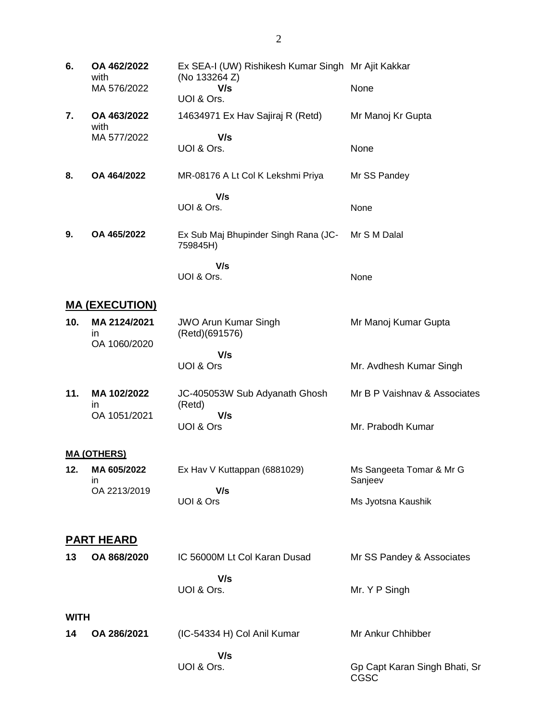| 6. | OA 462/2022<br>with<br>MA 576/2022 | Ex SEA-I (UW) Rishikesh Kumar Singh Mr Ajit Kakkar<br>(No 133264 Z)<br>V/s<br>UOI & Ors. | None              |
|----|------------------------------------|------------------------------------------------------------------------------------------|-------------------|
| 7. | OA 463/2022<br>with                | 14634971 Ex Hav Sajiraj R (Retd)                                                         | Mr Manoj Kr Gupta |
|    | MA 577/2022                        | V/s                                                                                      |                   |
|    |                                    | UOI & Ors.                                                                               | None              |
|    |                                    |                                                                                          |                   |
| 8. | OA 464/2022                        | MR-08176 A Lt Col K Lekshmi Priya                                                        | Mr SS Pandey      |
|    |                                    | V/s                                                                                      |                   |
|    |                                    | UOI & Ors.                                                                               | None              |
|    |                                    |                                                                                          |                   |
| 9. | OA 465/2022                        | Ex Sub Maj Bhupinder Singh Rana (JC-<br>759845H)                                         | Mr S M Dalal      |
|    |                                    | V/s                                                                                      |                   |
|    |                                    | UOI & Ors.                                                                               | None              |

## **MA (EXECUTION)**

| (Retd)(691576) |                         |
|----------------|-------------------------|
| V/s            | Mr. Avdhesh Kumar Singh |
|                | UOI & Ors               |

**11. MA 102/2022** in OA 1051/2021 JC-405053W Sub Adyanath Ghosh (Retd)  **V/s** UOI & Ors Mr B P Vaishnav & Associates Mr. Prabodh Kumar

#### **MA (OTHERS)**

| 12. | MA 605/2022<br>ın | Ex Hav V Kuttappan (6881029) | Ms Sangeeta Tomar & Mr G<br>Sanieev |
|-----|-------------------|------------------------------|-------------------------------------|
|     | OA 2213/2019      | V/s                          |                                     |
|     |                   | UOI & Ors                    | Ms Jyotsna Kaushik                  |

### **PART HEARD**

| 13          | OA 868/2020 | IC 56000M Lt Col Karan Dusad | Mr SS Pandey & Associates |
|-------------|-------------|------------------------------|---------------------------|
|             |             | V/s<br>UOI & Ors.            | Mr. Y P Singh             |
| <b>WITH</b> |             |                              |                           |

| 14 | OA 286/2021 | (IC-54334 H) Col Anil Kumar | Mr Ankur Chhibber             |
|----|-------------|-----------------------------|-------------------------------|
|    |             | V/s<br>UOI & Ors.           | Gp Capt Karan Singh Bhati, Sr |
|    |             |                             | CGSC                          |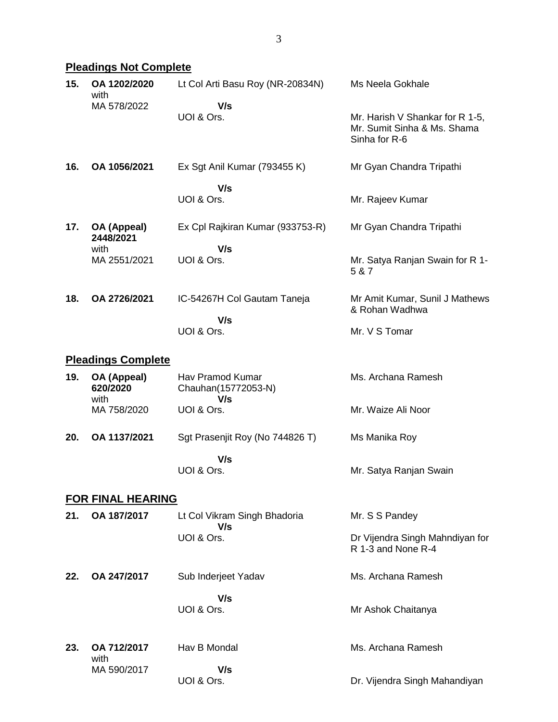## **Pleadings Not Complete**

| 15. | OA 1202/2020<br>with            | Lt Col Arti Basu Roy (NR-20834N)               | Ms Neela Gokhale                                                                |
|-----|---------------------------------|------------------------------------------------|---------------------------------------------------------------------------------|
|     | MA 578/2022                     | V/s<br>UOI & Ors.                              | Mr. Harish V Shankar for R 1-5,<br>Mr. Sumit Sinha & Ms. Shama<br>Sinha for R-6 |
| 16. | OA 1056/2021                    | Ex Sgt Anil Kumar (793455 K)                   | Mr Gyan Chandra Tripathi                                                        |
|     |                                 | V/s<br>UOI & Ors.                              | Mr. Rajeev Kumar                                                                |
| 17. | OA (Appeal)<br>2448/2021        | Ex Cpl Rajkiran Kumar (933753-R)               | Mr Gyan Chandra Tripathi                                                        |
|     | with<br>MA 2551/2021            | V/s<br>UOI & Ors.                              | Mr. Satya Ranjan Swain for R 1-<br>5 & 7                                        |
| 18. | OA 2726/2021                    | IC-54267H Col Gautam Taneja                    | Mr Amit Kumar, Sunil J Mathews<br>& Rohan Wadhwa                                |
|     |                                 | V/s<br>UOI & Ors.                              | Mr. V S Tomar                                                                   |
|     | <b>Pleadings Complete</b>       |                                                |                                                                                 |
| 19. | OA (Appeal)<br>620/2020<br>with | Hav Pramod Kumar<br>Chauhan(15772053-N)<br>V/s | Ms. Archana Ramesh                                                              |
|     | MA 758/2020                     | UOI & Ors.                                     | Mr. Waize Ali Noor                                                              |
| 20. | OA 1137/2021                    | Sgt Prasenjit Roy (No 744826 T)                | Ms Manika Roy                                                                   |
|     |                                 | V/s<br>UOI & Ors.                              | Mr. Satya Ranjan Swain                                                          |
|     | <b>FOR FINAL HEARING</b>        |                                                |                                                                                 |
| 21. | OA 187/2017                     | Lt Col Vikram Singh Bhadoria<br>V/s            | Mr. S S Pandey                                                                  |
|     |                                 | UOI & Ors.                                     | Dr Vijendra Singh Mahndiyan for<br>R 1-3 and None R-4                           |
| 22. | OA 247/2017                     | Sub Inderjeet Yadav                            | Ms. Archana Ramesh                                                              |
|     |                                 | V/s<br>UOI & Ors.                              | Mr Ashok Chaitanya                                                              |
| 23. | OA 712/2017<br>with             | Hav B Mondal                                   | Ms. Archana Ramesh                                                              |
|     | MA 590/2017                     | V/s<br>UOI & Ors.                              | Dr. Vijendra Singh Mahandiyan                                                   |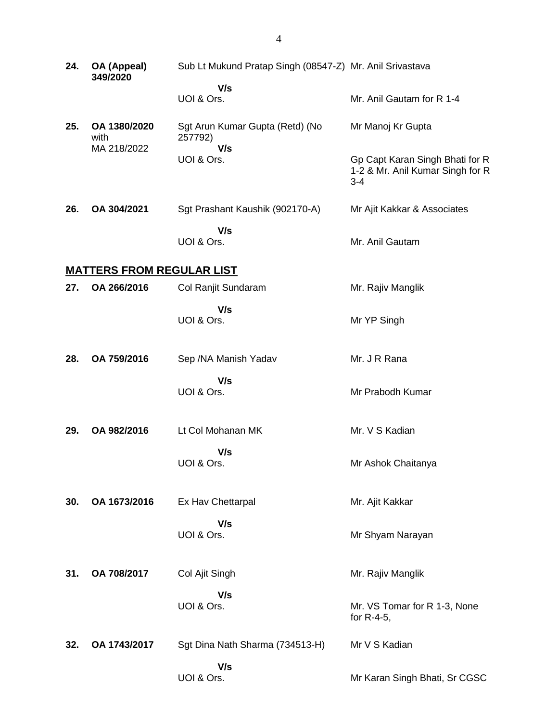| 24. | OA (Appeal)<br>349/2020             | Sub Lt Mukund Pratap Singh (08547-Z) Mr. Anil Srivastava |                                                                                |
|-----|-------------------------------------|----------------------------------------------------------|--------------------------------------------------------------------------------|
|     |                                     | V/s<br>UOI & Ors.                                        | Mr. Anil Gautam for R 1-4                                                      |
| 25. | OA 1380/2020<br>with<br>MA 218/2022 | Sgt Arun Kumar Gupta (Retd) (No<br>257792)               | Mr Manoj Kr Gupta                                                              |
|     |                                     | V/s<br>UOI & Ors.                                        | Gp Capt Karan Singh Bhati for R<br>1-2 & Mr. Anil Kumar Singh for R<br>$3 - 4$ |
| 26. | OA 304/2021                         | Sgt Prashant Kaushik (902170-A)                          | Mr Ajit Kakkar & Associates                                                    |
|     |                                     | V/s<br>UOI & Ors.                                        | Mr. Anil Gautam                                                                |
|     | <b>MATTERS FROM REGULAR LIST</b>    |                                                          |                                                                                |
| 27. | OA 266/2016                         | Col Ranjit Sundaram                                      | Mr. Rajiv Manglik                                                              |
|     |                                     | V/s<br>UOI & Ors.                                        | Mr YP Singh                                                                    |
| 28. | OA 759/2016                         | Sep / NA Manish Yadav                                    | Mr. J R Rana                                                                   |
|     |                                     | V/s<br>UOI & Ors.                                        | Mr Prabodh Kumar                                                               |
| 29. | OA 982/2016                         | Lt Col Mohanan MK                                        | Mr. V S Kadian                                                                 |
|     |                                     | V/s<br>UOI & Ors.                                        | Mr Ashok Chaitanya                                                             |
| 30. | OA 1673/2016                        | Ex Hav Chettarpal                                        | Mr. Ajit Kakkar                                                                |
|     |                                     | V/s<br>UOI & Ors.                                        | Mr Shyam Narayan                                                               |
| 31. | OA 708/2017                         | Col Ajit Singh                                           | Mr. Rajiv Manglik                                                              |
|     |                                     | V/s<br>UOI & Ors.                                        | Mr. VS Tomar for R 1-3, None<br>for R-4-5,                                     |
| 32. | OA 1743/2017                        | Sgt Dina Nath Sharma (734513-H)                          | Mr V S Kadian                                                                  |
|     |                                     | V/s<br>UOI & Ors.                                        | Mr Karan Singh Bhati, Sr CGSC                                                  |